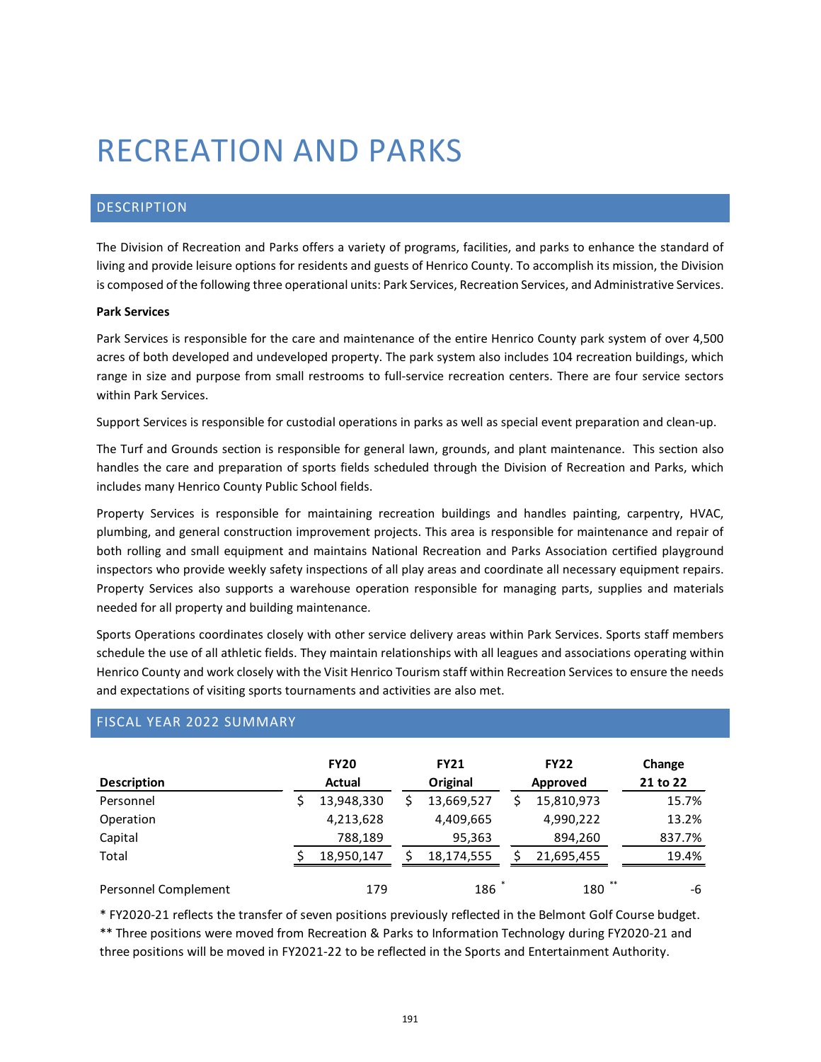# RECREATION AND PARKS

## DESCRIPTION

The Division of Recreation and Parks offers a variety of programs, facilities, and parks to enhance the standard of living and provide leisure options for residents and guests of Henrico County. To accomplish its mission, the Division is composed of the following three operational units: Park Services, Recreation Services, and Administrative Services.

## **Park Services**

Park Services is responsible for the care and maintenance of the entire Henrico County park system of over 4,500 acres of both developed and undeveloped property. The park system also includes 104 recreation buildings, which range in size and purpose from small restrooms to full-service recreation centers. There are four service sectors within Park Services.

Support Services is responsible for custodial operations in parks as well as special event preparation and clean-up.

The Turf and Grounds section is responsible for general lawn, grounds, and plant maintenance. This section also handles the care and preparation of sports fields scheduled through the Division of Recreation and Parks, which includes many Henrico County Public School fields.

Property Services is responsible for maintaining recreation buildings and handles painting, carpentry, HVAC, plumbing, and general construction improvement projects. This area is responsible for maintenance and repair of both rolling and small equipment and maintains National Recreation and Parks Association certified playground inspectors who provide weekly safety inspections of all play areas and coordinate all necessary equipment repairs. Property Services also supports a warehouse operation responsible for managing parts, supplies and materials needed for all property and building maintenance.

Sports Operations coordinates closely with other service delivery areas within Park Services. Sports staff members schedule the use of all athletic fields. They maintain relationships with all leagues and associations operating within Henrico County and work closely with the Visit Henrico Tourism staff within Recreation Services to ensure the needs and expectations of visiting sports tournaments and activities are also met.

| <b>Description</b>   | <b>FY20</b><br><b>Actual</b> |    | <b>FY21</b><br>Original | <b>FY22</b><br>Approved | Change<br>21 to 22 |
|----------------------|------------------------------|----|-------------------------|-------------------------|--------------------|
| Personnel            | 13,948,330                   | S. | 13,669,527              | 15,810,973              | 15.7%              |
| Operation            | 4,213,628                    |    | 4,409,665               | 4,990,222               | 13.2%              |
| Capital              | 788,189                      |    | 95,363                  | 894,260                 | 837.7%             |
| Total                | 18,950,147                   |    | 18.174.555              | 21,695,455              | 19.4%              |
| Personnel Complement | 179                          |    | 186                     | **<br>180               | -6                 |

## FISCAL YEAR 2022 SUMMARY

\* FY2020-21 reflects the transfer of seven positions previously reflected in the Belmont Golf Course budget.

\*\* Three positions were moved from Recreation & Parks to Information Technology during FY2020-21 and three positions will be moved in FY2021-22 to be reflected in the Sports and Entertainment Authority.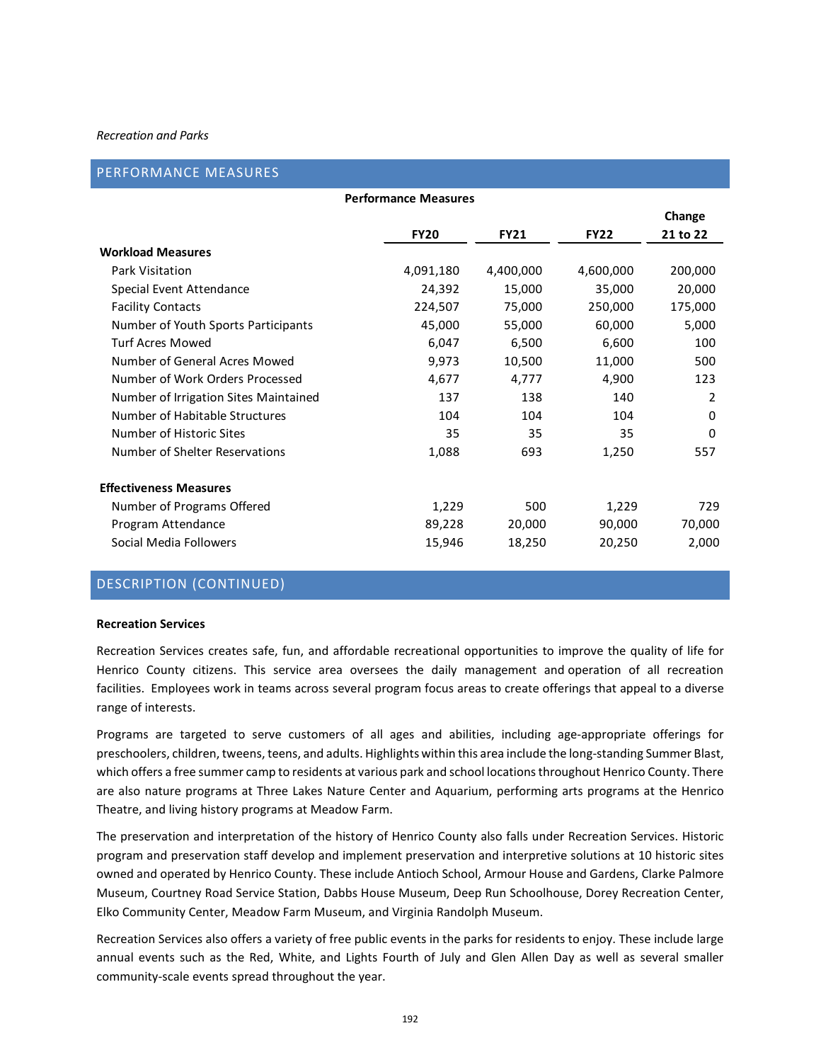## PERFORMANCE MEASURES

| <b>Performance Measures</b>           |             |             |             |          |  |  |  |  |  |  |  |
|---------------------------------------|-------------|-------------|-------------|----------|--|--|--|--|--|--|--|
|                                       |             |             |             | Change   |  |  |  |  |  |  |  |
|                                       | <b>FY20</b> | <b>FY21</b> | <b>FY22</b> | 21 to 22 |  |  |  |  |  |  |  |
| <b>Workload Measures</b>              |             |             |             |          |  |  |  |  |  |  |  |
| Park Visitation                       | 4,091,180   | 4,400,000   | 4,600,000   | 200,000  |  |  |  |  |  |  |  |
| Special Event Attendance              | 24,392      | 15,000      | 35,000      | 20,000   |  |  |  |  |  |  |  |
| <b>Facility Contacts</b>              | 224,507     | 75,000      | 250,000     | 175,000  |  |  |  |  |  |  |  |
| Number of Youth Sports Participants   | 45,000      | 55,000      | 60,000      | 5,000    |  |  |  |  |  |  |  |
| <b>Turf Acres Mowed</b>               | 6,047       | 6,500       | 6,600       | 100      |  |  |  |  |  |  |  |
| Number of General Acres Mowed         | 9,973       | 10,500      | 11,000      | 500      |  |  |  |  |  |  |  |
| Number of Work Orders Processed       | 4,677       | 4,777       | 4,900       | 123      |  |  |  |  |  |  |  |
| Number of Irrigation Sites Maintained | 137         | 138         | 140         | 2        |  |  |  |  |  |  |  |
| Number of Habitable Structures        | 104         | 104         | 104         | 0        |  |  |  |  |  |  |  |
| Number of Historic Sites              | 35          | 35          | 35          | $\Omega$ |  |  |  |  |  |  |  |
| Number of Shelter Reservations        | 1,088       | 693         | 1,250       | 557      |  |  |  |  |  |  |  |
| <b>Effectiveness Measures</b>         |             |             |             |          |  |  |  |  |  |  |  |
| Number of Programs Offered            | 1,229       | 500         | 1,229       | 729      |  |  |  |  |  |  |  |
| Program Attendance                    | 89,228      | 20,000      | 90,000      | 70,000   |  |  |  |  |  |  |  |
| Social Media Followers                | 15,946      | 18,250      | 20,250      | 2,000    |  |  |  |  |  |  |  |

## DESCRIPTION (CONTINUED)

#### **Recreation Services**

Recreation Services creates safe, fun, and affordable recreational opportunities to improve the quality of life for Henrico County citizens. This service area oversees the daily management and operation of all recreation facilities. Employees work in teams across several program focus areas to create offerings that appeal to a diverse range of interests.

Programs are targeted to serve customers of all ages and abilities, including age-appropriate offerings for preschoolers, children, tweens, teens, and adults. Highlights within this area include the long-standing Summer Blast, which offers a free summer camp to residents at various park and school locations throughout Henrico County. There are also nature programs at Three Lakes Nature Center and Aquarium, performing arts programs at the Henrico Theatre, and living history programs at Meadow Farm.

The preservation and interpretation of the history of Henrico County also falls under Recreation Services. Historic program and preservation staff develop and implement preservation and interpretive solutions at 10 historic sites owned and operated by Henrico County. These include Antioch School, Armour House and Gardens, Clarke Palmore Museum, Courtney Road Service Station, Dabbs House Museum, Deep Run Schoolhouse, Dorey Recreation Center, Elko Community Center, Meadow Farm Museum, and Virginia Randolph Museum.

Recreation Services also offers a variety of free public events in the parks for residents to enjoy. These include large annual events such as the Red, White, and Lights Fourth of July and Glen Allen Day as well as several smaller community-scale events spread throughout the year.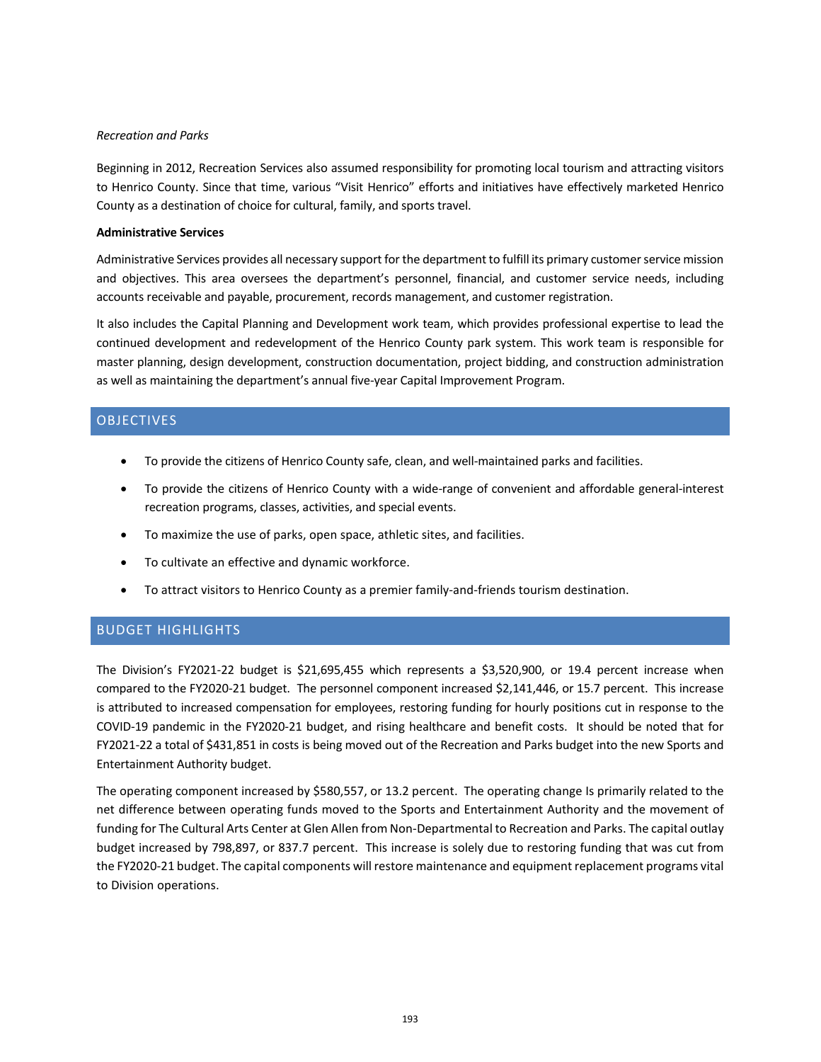Beginning in 2012, Recreation Services also assumed responsibility for promoting local tourism and attracting visitors to Henrico County. Since that time, various "Visit Henrico" efforts and initiatives have effectively marketed Henrico County as a destination of choice for cultural, family, and sports travel.

## **Administrative Services**

Administrative Services provides all necessary support for the department to fulfill its primary customer service mission and objectives. This area oversees the department's personnel, financial, and customer service needs, including accounts receivable and payable, procurement, records management, and customer registration.

It also includes the Capital Planning and Development work team, which provides professional expertise to lead the continued development and redevelopment of the Henrico County park system. This work team is responsible for master planning, design development, construction documentation, project bidding, and construction administration as well as maintaining the department's annual five-year Capital Improvement Program.

## OBJECTIVES

- To provide the citizens of Henrico County safe, clean, and well-maintained parks and facilities.
- To provide the citizens of Henrico County with a wide-range of convenient and affordable general-interest recreation programs, classes, activities, and special events.
- To maximize the use of parks, open space, athletic sites, and facilities.
- To cultivate an effective and dynamic workforce.
- To attract visitors to Henrico County as a premier family-and-friends tourism destination.

## BUDGET HIGHLIGHTS

The Division's FY2021-22 budget is \$21,695,455 which represents a \$3,520,900, or 19.4 percent increase when compared to the FY2020-21 budget. The personnel component increased \$2,141,446, or 15.7 percent. This increase is attributed to increased compensation for employees, restoring funding for hourly positions cut in response to the COVID-19 pandemic in the FY2020-21 budget, and rising healthcare and benefit costs. It should be noted that for FY2021-22 a total of \$431,851 in costs is being moved out of the Recreation and Parks budget into the new Sports and Entertainment Authority budget.

The operating component increased by \$580,557, or 13.2 percent. The operating change Is primarily related to the net difference between operating funds moved to the Sports and Entertainment Authority and the movement of funding for The Cultural Arts Center at Glen Allen from Non-Departmental to Recreation and Parks. The capital outlay budget increased by 798,897, or 837.7 percent. This increase is solely due to restoring funding that was cut from the FY2020-21 budget. The capital components will restore maintenance and equipment replacement programs vital to Division operations.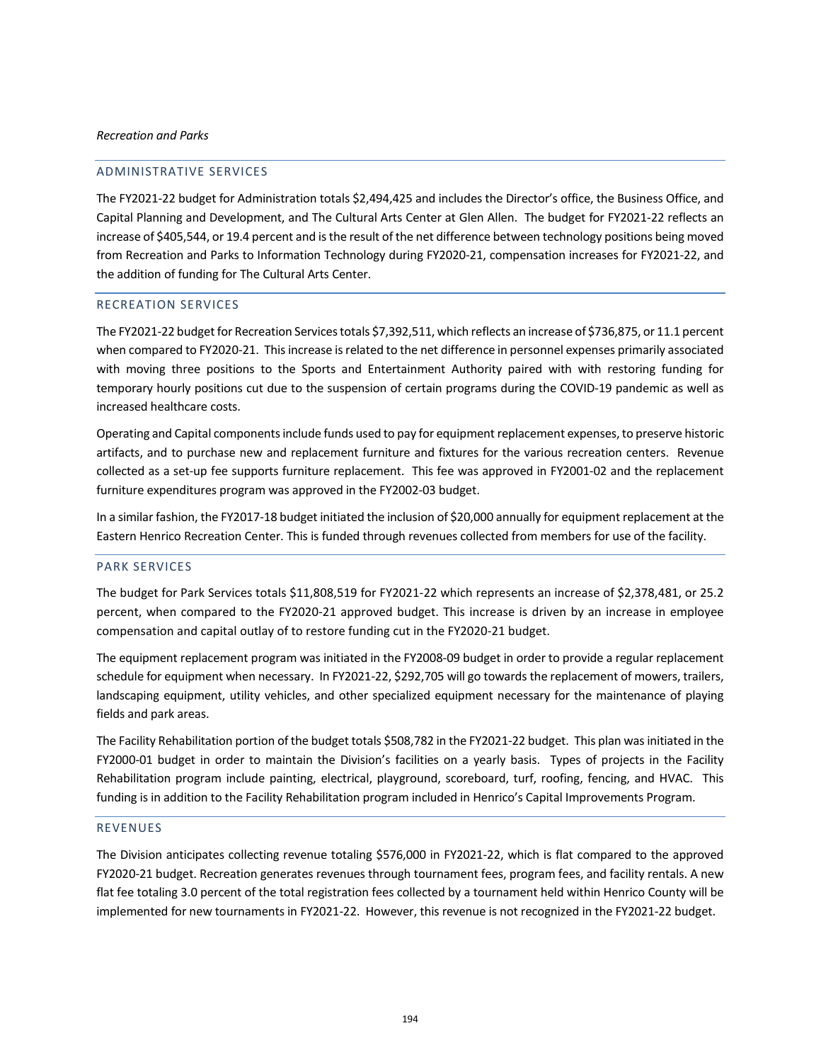## ADMINISTRATIVE SERVICES

The FY2021-22 budget for Administration totals \$2,494,425 and includes the Director's office, the Business Office, and Capital Planning and Development, and The Cultural Arts Center at Glen Allen. The budget for FY2021-22 reflects an increase of \$405,544, or 19.4 percent and is the result of the net difference between technology positions being moved from Recreation and Parks to Information Technology during FY2020-21, compensation increases for FY2021-22, and the addition of funding for The Cultural Arts Center.

## RECREATION SERVICES

The FY2021-22 budget for Recreation Services totals \$7,392,511, which reflects an increase of \$736,875, or 11.1 percent when compared to FY2020-21. This increase isrelated to the net difference in personnel expenses primarily associated with moving three positions to the Sports and Entertainment Authority paired with with restoring funding for temporary hourly positions cut due to the suspension of certain programs during the COVID-19 pandemic as well as increased healthcare costs.

Operating and Capital components include funds used to pay for equipment replacement expenses, to preserve historic artifacts, and to purchase new and replacement furniture and fixtures for the various recreation centers. Revenue collected as a set-up fee supports furniture replacement. This fee was approved in FY2001-02 and the replacement furniture expenditures program was approved in the FY2002-03 budget.

In a similar fashion, the FY2017-18 budget initiated the inclusion of \$20,000 annually for equipment replacement at the Eastern Henrico Recreation Center. This is funded through revenues collected from members for use of the facility.

#### PARK SERVICES

The budget for Park Services totals \$11,808,519 for FY2021-22 which represents an increase of \$2,378,481, or 25.2 percent, when compared to the FY2020-21 approved budget. This increase is driven by an increase in employee compensation and capital outlay of to restore funding cut in the FY2020-21 budget.

The equipment replacement program was initiated in the FY2008-09 budget in order to provide a regular replacement schedule for equipment when necessary. In FY2021-22, \$292,705 will go towards the replacement of mowers, trailers, landscaping equipment, utility vehicles, and other specialized equipment necessary for the maintenance of playing fields and park areas.

The Facility Rehabilitation portion of the budget totals \$508,782 in the FY2021-22 budget. This plan was initiated in the FY2000-01 budget in order to maintain the Division's facilities on a yearly basis. Types of projects in the Facility Rehabilitation program include painting, electrical, playground, scoreboard, turf, roofing, fencing, and HVAC. This funding is in addition to the Facility Rehabilitation program included in Henrico's Capital Improvements Program.

### REVENUES

The Division anticipates collecting revenue totaling \$576,000 in FY2021-22, which is flat compared to the approved FY2020-21 budget. Recreation generates revenues through tournament fees, program fees, and facility rentals. A new flat fee totaling 3.0 percent of the total registration fees collected by a tournament held within Henrico County will be implemented for new tournaments in FY2021-22. However, this revenue is not recognized in the FY2021-22 budget.